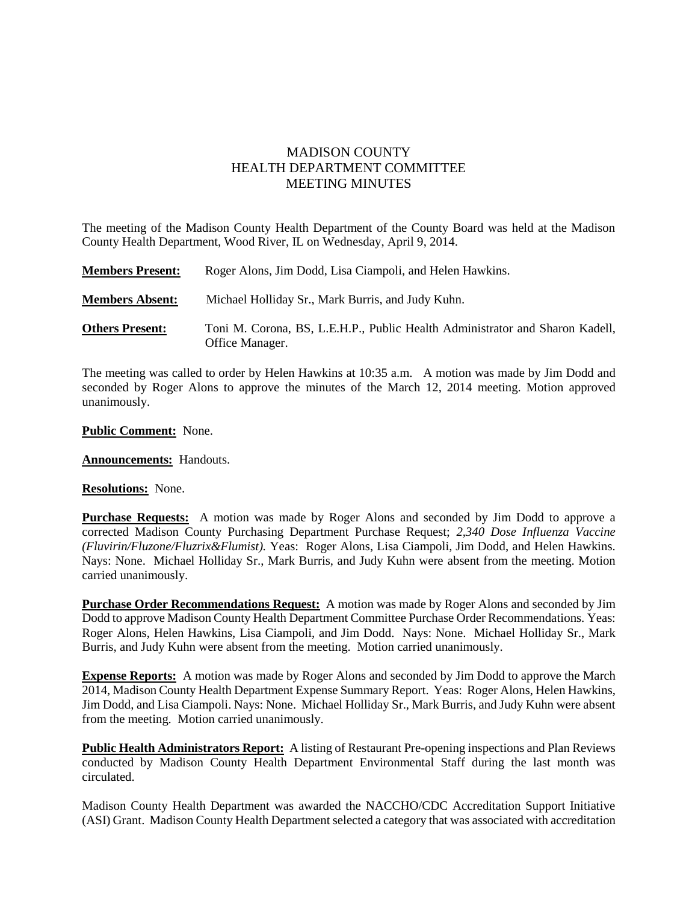## MADISON COUNTY HEALTH DEPARTMENT COMMITTEE MEETING MINUTES

The meeting of the Madison County Health Department of the County Board was held at the Madison County Health Department, Wood River, IL on Wednesday, April 9, 2014.

| <b>Members Present:</b> | Roger Alons, Jim Dodd, Lisa Ciampoli, and Helen Hawkins.                                        |
|-------------------------|-------------------------------------------------------------------------------------------------|
| <b>Members Absent:</b>  | Michael Holliday Sr., Mark Burris, and Judy Kuhn.                                               |
| <b>Others Present:</b>  | Toni M. Corona, BS, L.E.H.P., Public Health Administrator and Sharon Kadell,<br>Office Manager. |

The meeting was called to order by Helen Hawkins at 10:35 a.m. A motion was made by Jim Dodd and seconded by Roger Alons to approve the minutes of the March 12, 2014 meeting. Motion approved unanimously.

**Public Comment:** None.

**Announcements:** Handouts.

**Resolutions:** None.

**Purchase Requests:** A motion was made by Roger Alons and seconded by Jim Dodd to approve a corrected Madison County Purchasing Department Purchase Request; *2,340 Dose Influenza Vaccine (Fluvirin/Fluzone/Fluzrix&Flumist).* Yeas: Roger Alons, Lisa Ciampoli, Jim Dodd, and Helen Hawkins. Nays: None. Michael Holliday Sr., Mark Burris, and Judy Kuhn were absent from the meeting. Motion carried unanimously.

**Purchase Order Recommendations Request:** A motion was made by Roger Alons and seconded by Jim Dodd to approve Madison County Health Department Committee Purchase Order Recommendations. Yeas: Roger Alons, Helen Hawkins, Lisa Ciampoli, and Jim Dodd. Nays: None. Michael Holliday Sr., Mark Burris, and Judy Kuhn were absent from the meeting. Motion carried unanimously.

**Expense Reports:** A motion was made by Roger Alons and seconded by Jim Dodd to approve the March 2014, Madison County Health Department Expense Summary Report. Yeas: Roger Alons, Helen Hawkins, Jim Dodd, and Lisa Ciampoli. Nays: None. Michael Holliday Sr., Mark Burris, and Judy Kuhn were absent from the meeting. Motion carried unanimously.

**Public Health Administrators Report:** A listing of Restaurant Pre-opening inspections and Plan Reviews conducted by Madison County Health Department Environmental Staff during the last month was circulated.

Madison County Health Department was awarded the NACCHO/CDC Accreditation Support Initiative (ASI) Grant. Madison County Health Department selected a category that was associated with accreditation